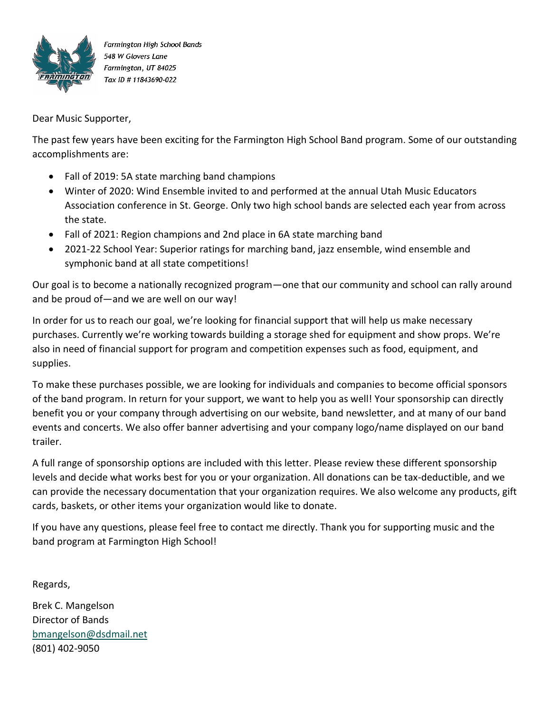

Farmington High School Bands 548 W Glovers Lane Farmington, UT 84025 Tax ID # 11843690-022

Dear Music Supporter,

The past few years have been exciting for the Farmington High School Band program. Some of our outstanding accomplishments are:

- Fall of 2019: 5A state marching band champions
- Winter of 2020: Wind Ensemble invited to and performed at the annual Utah Music Educators Association conference in St. George. Only two high school bands are selected each year from across the state.
- Fall of 2021: Region champions and 2nd place in 6A state marching band
- 2021-22 School Year: Superior ratings for marching band, jazz ensemble, wind ensemble and symphonic band at all state competitions!

Our goal is to become a nationally recognized program—one that our community and school can rally around and be proud of—and we are well on our way!

In order for us to reach our goal, we're looking for financial support that will help us make necessary purchases. Currently we're working towards building a storage shed for equipment and show props. We're also in need of financial support for program and competition expenses such as food, equipment, and supplies.

To make these purchases possible, we are looking for individuals and companies to become official sponsors of the band program. In return for your support, we want to help you as well! Your sponsorship can directly benefit you or your company through advertising on our website, band newsletter, and at many of our band events and concerts. We also offer banner advertising and your company logo/name displayed on our band trailer.

A full range of sponsorship options are included with this letter. Please review these different sponsorship levels and decide what works best for you or your organization. All donations can be tax-deductible, and we can provide the necessary documentation that your organization requires. We also welcome any products, gift cards, baskets, or other items your organization would like to donate.

If you have any questions, please feel free to contact me directly. Thank you for supporting music and the band program at Farmington High School!

Regards,

Brek C. Mangelson Director of Bands bmangelson@dsdmail.net (801) 402-9050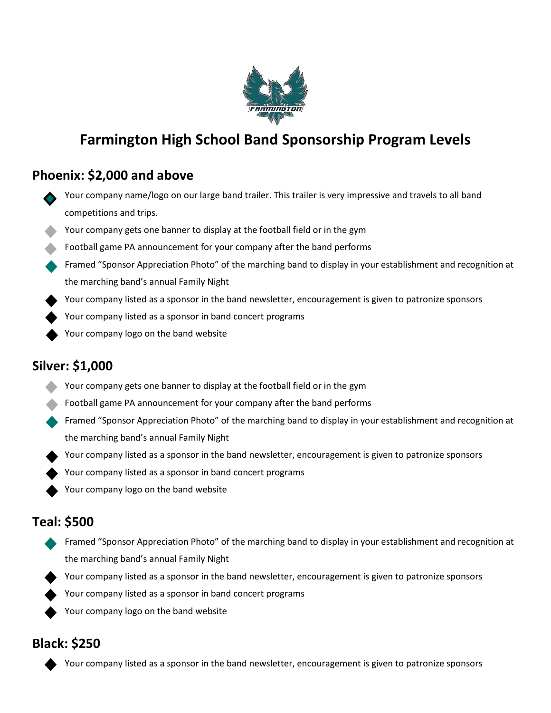

# **Farmington High School Band Sponsorship Program Levels**

## **Phoenix: \$2,000 and above**

- Your company name/logo on our large band trailer. This trailer is very impressive and travels to all band competitions and trips.
- Your company gets one banner to display at the football field or in the gym
- Football game PA announcement for your company after the band performs
- Framed "Sponsor Appreciation Photo" of the marching band to display in your establishment and recognition at the marching band's annual Family Night
- Your company listed as a sponsor in the band newsletter, encouragement is given to patronize sponsors
- Your company listed as a sponsor in band concert programs
	- Your company logo on the band website

### **Silver: \$1,000**

- Your company gets one banner to display at the football field or in the gym
- Football game PA announcement for your company after the band performs
- Framed "Sponsor Appreciation Photo" of the marching band to display in your establishment and recognition at the marching band's annual Family Night
- Your company listed as a sponsor in the band newsletter, encouragement is given to patronize sponsors
- Your company listed as a sponsor in band concert programs
- Your company logo on the band website

### **Teal: \$500**

- Framed "Sponsor Appreciation Photo" of the marching band to display in your establishment and recognition at the marching band's annual Family Night
	- Your company listed as a sponsor in the band newsletter, encouragement is given to patronize sponsors
- Your company listed as a sponsor in band concert programs
- Your company logo on the band website

### **Black: \$250**

Your company listed as a sponsor in the band newsletter, encouragement is given to patronize sponsors